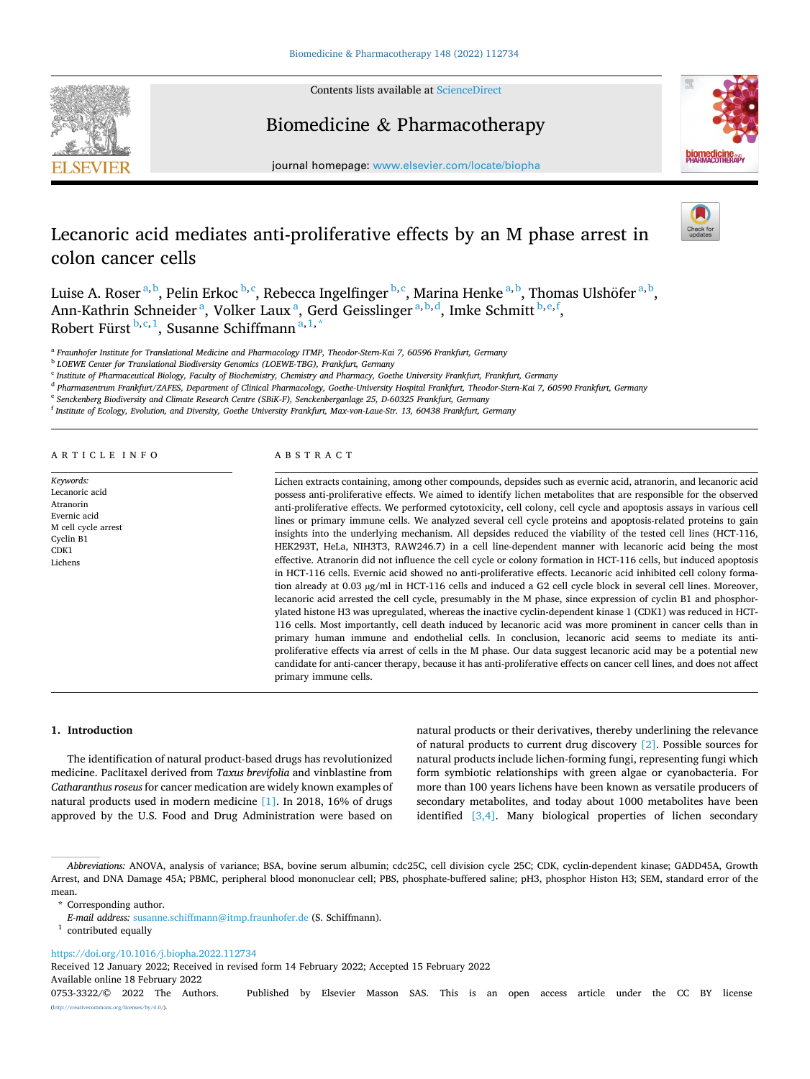

Contents lists available at [ScienceDirect](www.sciencedirect.com/science/journal/07533322)

Biomedicine & Pharmacotherapy



journal homepage: [www.elsevier.com/locate/biopha](https://www.elsevier.com/locate/biopha)

# Lecanoric acid mediates anti-proliferative effects by an M phase arrest in colon cancer cells

Luise A. Roser <sup>a, b</sup>, Pelin Erkoc <sup>b, c</sup>, Rebecca Ingelfinger <sup>b, c</sup>, Marina Henke <sup>a, b</sup>, Thomas Ulshöfer <sup>a, b</sup>, Ann-Kathrin Schneider<sup>a</sup>, Volker Laux<sup>a</sup>, Gerd Geisslinger<sup>a, b, d</sup>, Imke Schmitt<sup>b, e, f</sup>, Robert Fürst <sup>b, c, 1</sup>, Susanne Schiffmann <sup>a, 1, \*</sup>

<sup>a</sup> *Fraunhofer Institute for Translational Medicine and Pharmacology ITMP, Theodor-Stern-Kai 7, 60596 Frankfurt, Germany* 

<sup>b</sup> *LOEWE Center for Translational Biodiversity Genomics (LOEWE-TBG), Frankfurt, Germany* 

<sup>c</sup> *Institute of Pharmaceutical Biology, Faculty of Biochemistry, Chemistry and Pharmacy, Goethe University Frankfurt, Frankfurt, Germany* 

<sup>d</sup> *Pharmazentrum Frankfurt/ZAFES, Department of Clinical Pharmacology, Goethe-University Hospital Frankfurt, Theodor-Stern-Kai 7, 60590 Frankfurt, Germany* 

<sup>e</sup> *Senckenberg Biodiversity and Climate Research Centre (SBiK-F), Senckenberganlage 25, D-60325 Frankfurt, Germany* 

<sup>f</sup> *Institute of Ecology, Evolution, and Diversity, Goethe University Frankfurt, Max-von-Laue-Str. 13, 60438 Frankfurt, Germany* 

ARTICLE INFO

*Keywords:*  Lecanoric acid Atranorin Evernic acid M cell cycle arrest Cyclin B1 CDK1 Lichens

# ABSTRACT

Lichen extracts containing, among other compounds, depsides such as evernic acid, atranorin, and lecanoric acid possess anti-proliferative effects. We aimed to identify lichen metabolites that are responsible for the observed anti-proliferative effects. We performed cytotoxicity, cell colony, cell cycle and apoptosis assays in various cell lines or primary immune cells. We analyzed several cell cycle proteins and apoptosis-related proteins to gain insights into the underlying mechanism. All depsides reduced the viability of the tested cell lines (HCT-116, HEK293T, HeLa, NIH3T3, RAW246.7) in a cell line-dependent manner with lecanoric acid being the most effective. Atranorin did not influence the cell cycle or colony formation in HCT-116 cells, but induced apoptosis in HCT-116 cells. Evernic acid showed no anti-proliferative effects. Lecanoric acid inhibited cell colony formation already at 0.03 µg/ml in HCT-116 cells and induced a G2 cell cycle block in several cell lines. Moreover, lecanoric acid arrested the cell cycle, presumably in the M phase, since expression of cyclin B1 and phosphorylated histone H3 was upregulated, whereas the inactive cyclin-dependent kinase 1 (CDK1) was reduced in HCT-116 cells. Most importantly, cell death induced by lecanoric acid was more prominent in cancer cells than in primary human immune and endothelial cells. In conclusion, lecanoric acid seems to mediate its antiproliferative effects via arrest of cells in the M phase. Our data suggest lecanoric acid may be a potential new candidate for anti-cancer therapy, because it has anti-proliferative effects on cancer cell lines, and does not affect primary immune cells.

**1. Introduction** 

The identification of natural product-based drugs has revolutionized medicine. Paclitaxel derived from *Taxus brevifolia* and vinblastine from *Catharanthus roseus* for cancer medication are widely known examples of natural products used in modern medicine [\[1\]](#page-7-0). In 2018, 16% of drugs approved by the U.S. Food and Drug Administration were based on

natural products or their derivatives, thereby underlining the relevance of natural products to current drug discovery [\[2\].](#page-7-0) Possible sources for natural products include lichen-forming fungi, representing fungi which form symbiotic relationships with green algae or cyanobacteria. For more than 100 years lichens have been known as versatile producers of secondary metabolites, and today about 1000 metabolites have been identified [\[3,4\].](#page-7-0) Many biological properties of lichen secondary

\* Corresponding author.

<https://doi.org/10.1016/j.biopha.2022.112734>

Received 12 January 2022; Received in revised form 14 February 2022; Accepted 15 February 2022

Available online 18 February 2022

0753-3322/© 2022 The Authors. Published by Elsevier Masson SAS. This is an open access article under the CC BY license [\(http://creativecommons.org/licenses/by/4.0/](http://creativecommons.org/licenses/by/4.0/)).

*Abbreviations:* ANOVA, analysis of variance; BSA, bovine serum albumin; cdc25C, cell division cycle 25C; CDK, cyclin-dependent kinase; GADD45A, Growth Arrest, and DNA Damage 45A; PBMC, peripheral blood mononuclear cell; PBS, phosphate-buffered saline; pH3, phosphor Histon H3; SEM, standard error of the mean.

*E-mail address:* [susanne.schiffmann@itmp.fraunhofer.de](mailto:susanne.schiffmann@itmp.fraunhofer.de) (S. Schiffmann). 1 contributed equally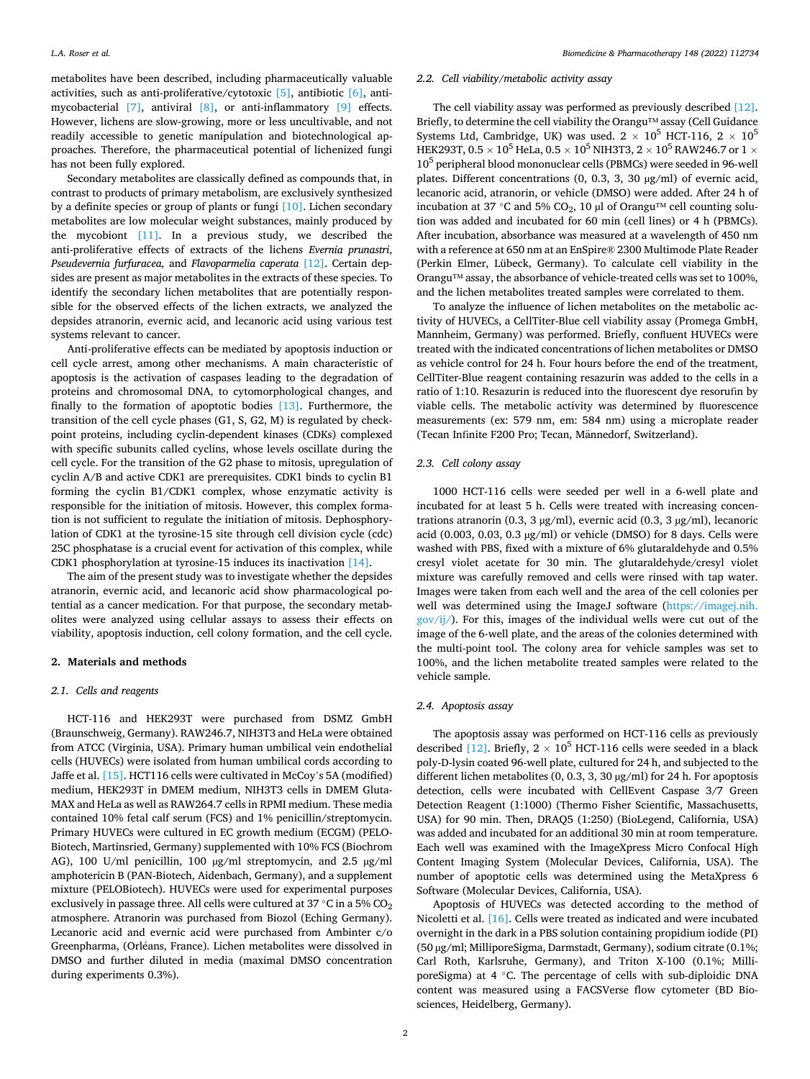metabolites have been described, including pharmaceutically valuable activities, such as anti-proliferative/cytotoxic [\[5\]](#page-7-0), antibiotic [\[6\]](#page-7-0), antimycobacterial [\[7\],](#page-7-0) antiviral [\[8\],](#page-7-0) or anti-inflammatory [\[9\]](#page-7-0) effects. However, lichens are slow-growing, more or less uncultivable, and not readily accessible to genetic manipulation and biotechnological approaches. Therefore, the pharmaceutical potential of lichenized fungi has not been fully explored.

Secondary metabolites are classically defined as compounds that, in contrast to products of primary metabolism, are exclusively synthesized by a definite species or group of plants or fungi [\[10\].](#page-7-0) Lichen secondary metabolites are low molecular weight substances, mainly produced by the mycobiont [\[11\].](#page-7-0) In a previous study, we described the anti-proliferative effects of extracts of the lichens *Evernia prunastri*, *Pseudevernia furfuracea,* and *Flavoparmelia caperata* [\[12\].](#page-7-0) Certain depsides are present as major metabolites in the extracts of these species. To identify the secondary lichen metabolites that are potentially responsible for the observed effects of the lichen extracts, we analyzed the depsides atranorin, evernic acid, and lecanoric acid using various test systems relevant to cancer.

Anti-proliferative effects can be mediated by apoptosis induction or cell cycle arrest, among other mechanisms. A main characteristic of apoptosis is the activation of caspases leading to the degradation of proteins and chromosomal DNA, to cytomorphological changes, and finally to the formation of apoptotic bodies [\[13\]](#page-7-0). Furthermore, the transition of the cell cycle phases (G1, S, G2, M) is regulated by checkpoint proteins, including cyclin-dependent kinases (CDKs) complexed with specific subunits called cyclins, whose levels oscillate during the cell cycle. For the transition of the G2 phase to mitosis, upregulation of cyclin A/B and active CDK1 are prerequisites. CDK1 binds to cyclin B1 forming the cyclin B1/CDK1 complex, whose enzymatic activity is responsible for the initiation of mitosis. However, this complex formation is not sufficient to regulate the initiation of mitosis. Dephosphorylation of CDK1 at the tyrosine-15 site through cell division cycle (cdc) 25C phosphatase is a crucial event for activation of this complex, while CDK1 phosphorylation at tyrosine-15 induces its inactivation [\[14\].](#page-7-0)

The aim of the present study was to investigate whether the depsides atranorin, evernic acid, and lecanoric acid show pharmacological potential as a cancer medication. For that purpose, the secondary metabolites were analyzed using cellular assays to assess their effects on viability, apoptosis induction, cell colony formation, and the cell cycle.

#### **2. Materials and methods**

# *2.1. Cells and reagents*

HCT-116 and HEK293T were purchased from DSMZ GmbH (Braunschweig, Germany). RAW246.7, NIH3T3 and HeLa were obtained from ATCC (Virginia, USA). Primary human umbilical vein endothelial cells (HUVECs) were isolated from human umbilical cords according to Jaffe et al. [\[15\].](#page-7-0) HCT116 cells were cultivated in McCoy's 5A (modified) medium, HEK293T in DMEM medium, NIH3T3 cells in DMEM Gluta-MAX and HeLa as well as RAW264.7 cells in RPMI medium. These media contained 10% fetal calf serum (FCS) and 1% penicillin/streptomycin. Primary HUVECs were cultured in EC growth medium (ECGM) (PELO-Biotech, Martinsried, Germany) supplemented with 10% FCS (Biochrom AG), 100 U/ml penicillin, 100  $\mu$ g/ml streptomycin, and 2.5  $\mu$ g/ml amphotericin B (PAN-Biotech, Aidenbach, Germany), and a supplement mixture (PELOBiotech). HUVECs were used for experimental purposes exclusively in passage three. All cells were cultured at 37 °C in a 5% CO<sub>2</sub> atmosphere. Atranorin was purchased from Biozol (Eching Germany). Lecanoric acid and evernic acid were purchased from Ambinter c/o Greenpharma, (Orléans, France). Lichen metabolites were dissolved in DMSO and further diluted in media (maximal DMSO concentration during experiments 0.3%).

# *2.2. Cell viability/metabolic activity assay*

The cell viability assay was performed as previously described [\[12\]](#page-7-0). Briefly, to determine the cell viability the Orangu™ assay (Cell Guidance Systems Ltd, Cambridge, UK) was used. 2  $\times$  10<sup>5</sup> HCT-116, 2  $\times$  10<sup>5</sup> HEK293T, 0.5  $\times$  10<sup>5</sup> HeLa, 0.5  $\times$  10<sup>5</sup> NIH3T3, 2  $\times$  10<sup>5</sup> RAW246.7 or 1  $\times$ 10<sup>5</sup> peripheral blood mononuclear cells (PBMCs) were seeded in 96-well plates. Different concentrations (0, 0.3, 3, 30 µg/ml) of evernic acid, lecanoric acid, atranorin, or vehicle (DMSO) were added. After 24 h of incubation at 37 °C and 5% CO<sub>2</sub>, 10 µl of Orangu™ cell counting solution was added and incubated for 60 min (cell lines) or 4 h (PBMCs). After incubation, absorbance was measured at a wavelength of 450 nm with a reference at 650 nm at an EnSpire® 2300 Multimode Plate Reader (Perkin Elmer, Lübeck, Germany). To calculate cell viability in the Orangu™ assay, the absorbance of vehicle-treated cells was set to 100%, and the lichen metabolites treated samples were correlated to them.

To analyze the influence of lichen metabolites on the metabolic activity of HUVECs, a CellTiter-Blue cell viability assay (Promega GmbH, Mannheim, Germany) was performed. Briefly, confluent HUVECs were treated with the indicated concentrations of lichen metabolites or DMSO as vehicle control for 24 h. Four hours before the end of the treatment, CellTiter-Blue reagent containing resazurin was added to the cells in a ratio of 1:10. Resazurin is reduced into the fluorescent dye resorufin by viable cells. The metabolic activity was determined by fluorescence measurements (ex: 579 nm, em: 584 nm) using a microplate reader (Tecan Infinite F200 Pro; Tecan, Männedorf, Switzerland).

#### *2.3. Cell colony assay*

1000 HCT-116 cells were seeded per well in a 6-well plate and incubated for at least 5 h. Cells were treated with increasing concentrations atranorin (0.3, 3 µg/ml), evernic acid (0.3, 3 µg/ml), lecanoric acid (0.003, 0.03, 0.3 µg/ml) or vehicle (DMSO) for 8 days. Cells were washed with PBS, fixed with a mixture of 6% glutaraldehyde and 0.5% cresyl violet acetate for 30 min. The glutaraldehyde/cresyl violet mixture was carefully removed and cells were rinsed with tap water. Images were taken from each well and the area of the cell colonies per well was determined using the ImageJ software [\(https://imagej.nih.](https://imagej.nih.gov/ij/)  [gov/ij/\)](https://imagej.nih.gov/ij/). For this, images of the individual wells were cut out of the image of the 6-well plate, and the areas of the colonies determined with the multi-point tool. The colony area for vehicle samples was set to 100%, and the lichen metabolite treated samples were related to the vehicle sample.

# *2.4. Apoptosis assay*

The apoptosis assay was performed on HCT-116 cells as previously described [\[12\].](#page-7-0) Briefly,  $2 \times 10^5$  HCT-116 cells were seeded in a black poly-D-lysin coated 96-well plate, cultured for 24 h, and subjected to the different lichen metabolites (0, 0.3, 3, 30 µg/ml) for 24 h. For apoptosis detection, cells were incubated with CellEvent Caspase 3/7 Green Detection Reagent (1:1000) (Thermo Fisher Scientific, Massachusetts, USA) for 90 min. Then, DRAQ5 (1:250) (BioLegend, California, USA) was added and incubated for an additional 30 min at room temperature. Each well was examined with the ImageXpress Micro Confocal High Content Imaging System (Molecular Devices, California, USA). The number of apoptotic cells was determined using the MetaXpress 6 Software (Molecular Devices, California, USA).

Apoptosis of HUVECs was detected according to the method of Nicoletti et al. [\[16\]](#page-7-0). Cells were treated as indicated and were incubated overnight in the dark in a PBS solution containing propidium iodide (PI) (50 µg/ml; MilliporeSigma, Darmstadt, Germany), sodium citrate (0.1%; Carl Roth, Karlsruhe, Germany), and Triton X-100 (0.1%; MilliporeSigma) at 4 ◦C. The percentage of cells with sub-diploidic DNA content was measured using a FACSVerse flow cytometer (BD Biosciences, Heidelberg, Germany).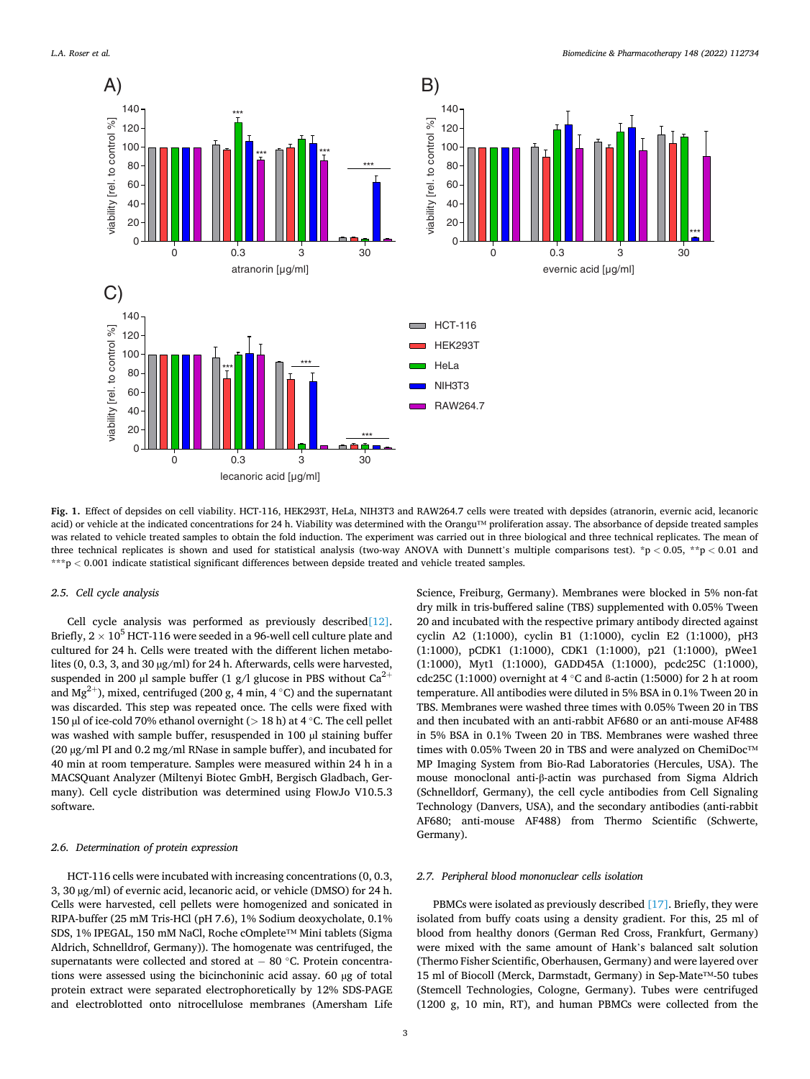<span id="page-2-0"></span>

**Fig. 1.** Effect of depsides on cell viability. HCT-116, HEK293T, HeLa, NIH3T3 and RAW264.7 cells were treated with depsides (atranorin, evernic acid, lecanoric acid) or vehicle at the indicated concentrations for 24 h. Viability was determined with the Orangu™ proliferation assay. The absorbance of depside treated samples was related to vehicle treated samples to obtain the fold induction. The experiment was carried out in three biological and three technical replicates. The mean of three technical replicates is shown and used for statistical analysis (two-way ANOVA with Dunnett's multiple comparisons test). \*p *<* 0.05, \*\*p *<* 0.01 and \*\*\*p *<* 0.001 indicate statistical significant differences between depside treated and vehicle treated samples.

#### *2.5. Cell cycle analysis*

Cell cycle analysis was performed as previously described<sup>[\[12\]](#page-7-0)</sup>. Briefly,  $2 \times 10^5$  HCT-116 were seeded in a 96-well cell culture plate and cultured for 24 h. Cells were treated with the different lichen metabolites (0, 0.3, 3, and 30 µg/ml) for 24 h. Afterwards, cells were harvested, suspended in 200 µl sample buffer (1 g/l glucose in PBS without  $Ca^{2+}$ and Mg<sup>2+</sup>), mixed, centrifuged (200 g, 4 min, 4 °C) and the supernatant was discarded. This step was repeated once. The cells were fixed with 150 µl of ice-cold 70% ethanol overnight (*>* 18 h) at 4 ◦C. The cell pellet was washed with sample buffer, resuspended in 100 µl staining buffer (20 µg/ml PI and 0.2 mg/ml RNase in sample buffer), and incubated for 40 min at room temperature. Samples were measured within 24 h in a MACSQuant Analyzer (Miltenyi Biotec GmbH, Bergisch Gladbach, Germany). Cell cycle distribution was determined using FlowJo V10.5.3 software.

## *2.6. Determination of protein expression*

HCT-116 cells were incubated with increasing concentrations (0, 0.3, 3, 30 µg/ml) of evernic acid, lecanoric acid, or vehicle (DMSO) for 24 h. Cells were harvested, cell pellets were homogenized and sonicated in RIPA-buffer (25 mM Tris-HCl (pH 7.6), 1% Sodium deoxycholate, 0.1% SDS, 1% IPEGAL, 150 mM NaCl, Roche cOmplete™ Mini tablets (Sigma Aldrich, Schnelldrof, Germany)). The homogenate was centrifuged, the supernatants were collected and stored at − 80 °C. Protein concentrations were assessed using the bicinchoninic acid assay. 60 µg of total protein extract were separated electrophoretically by 12% SDS-PAGE and electroblotted onto nitrocellulose membranes (Amersham Life

Science, Freiburg, Germany). Membranes were blocked in 5% non-fat dry milk in tris-buffered saline (TBS) supplemented with 0.05% Tween 20 and incubated with the respective primary antibody directed against cyclin A2 (1:1000), cyclin B1 (1:1000), cyclin E2 (1:1000), pH3 (1:1000), pCDK1 (1:1000), CDK1 (1:1000), p21 (1:1000), pWee1 (1:1000), Myt1 (1:1000), GADD45A (1:1000), pcdc25C (1:1000), cdc25C (1:1000) overnight at 4 ◦C and ß-actin (1:5000) for 2 h at room temperature. All antibodies were diluted in 5% BSA in 0.1% Tween 20 in TBS. Membranes were washed three times with 0.05% Tween 20 in TBS and then incubated with an anti-rabbit AF680 or an anti-mouse AF488 in 5% BSA in 0.1% Tween 20 in TBS. Membranes were washed three times with 0.05% Tween 20 in TBS and were analyzed on ChemiDoc™ MP Imaging System from Bio-Rad Laboratories (Hercules, USA). The mouse monoclonal anti-β-actin was purchased from Sigma Aldrich (Schnelldorf, Germany), the cell cycle antibodies from Cell Signaling Technology (Danvers, USA), and the secondary antibodies (anti-rabbit AF680; anti-mouse AF488) from Thermo Scientific (Schwerte, Germany).

#### *2.7. Peripheral blood mononuclear cells isolation*

PBMCs were isolated as previously described [\[17\].](#page-7-0) Briefly, they were isolated from buffy coats using a density gradient. For this, 25 ml of blood from healthy donors (German Red Cross, Frankfurt, Germany) were mixed with the same amount of Hank's balanced salt solution (Thermo Fisher Scientific, Oberhausen, Germany) and were layered over 15 ml of Biocoll (Merck, Darmstadt, Germany) in Sep-Mate™-50 tubes (Stemcell Technologies, Cologne, Germany). Tubes were centrifuged (1200 g, 10 min, RT), and human PBMCs were collected from the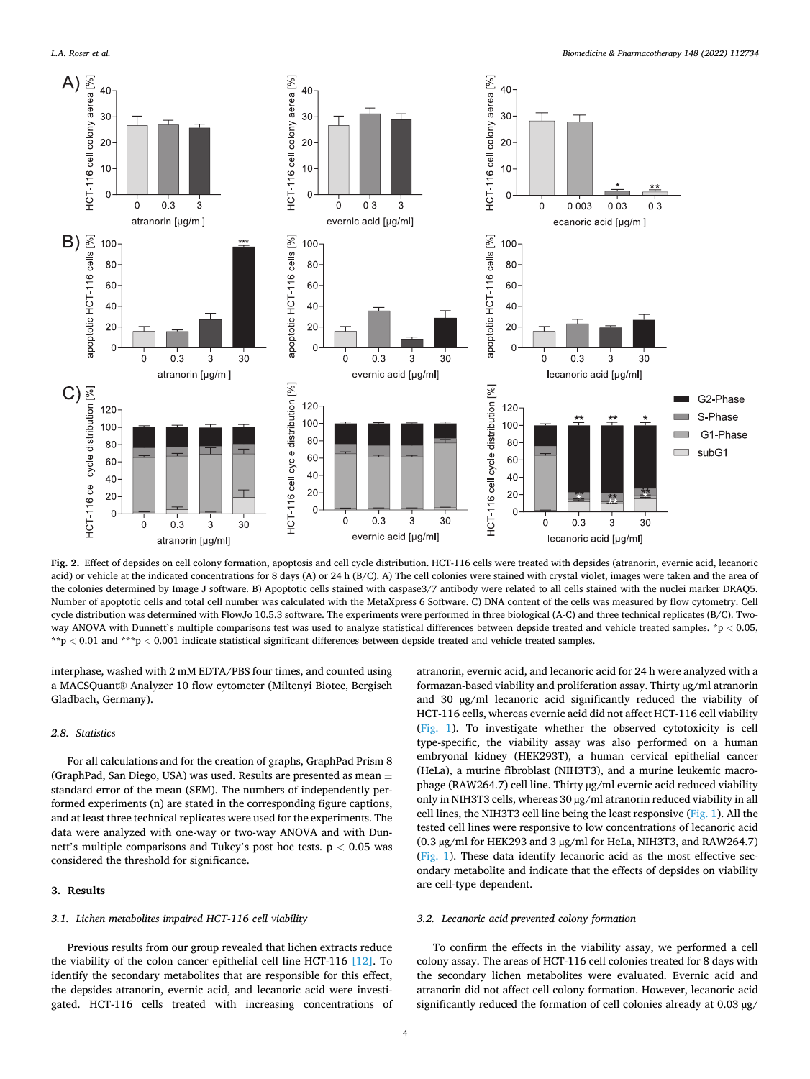<span id="page-3-0"></span>*L.A. Roser et al.* 



**Fig. 2.** Effect of depsides on cell colony formation, apoptosis and cell cycle distribution. HCT-116 cells were treated with depsides (atranorin, evernic acid, lecanoric acid) or vehicle at the indicated concentrations for 8 days (A) or 24 h (B/C). A) The cell colonies were stained with crystal violet, images were taken and the area of the colonies determined by Image J software. B) Apoptotic cells stained with caspase3/7 antibody were related to all cells stained with the nuclei marker DRAQ5. Number of apoptotic cells and total cell number was calculated with the MetaXpress 6 Software. C) DNA content of the cells was measured by flow cytometry. Cell cycle distribution was determined with FlowJo 10.5.3 software. The experiments were performed in three biological (A-C) and three technical replicates (B/C). Twoway ANOVA with Dunnett`s multiple comparisons test was used to analyze statistical differences between depside treated and vehicle treated samples. \*p *<* 0.05, \*\*p *<* 0.01 and \*\*\*p *<* 0.001 indicate statistical significant differences between depside treated and vehicle treated samples.

interphase, washed with 2 mM EDTA/PBS four times, and counted using a MACSQuant® Analyzer 10 flow cytometer (Miltenyi Biotec, Bergisch Gladbach, Germany).

# *2.8. Statistics*

For all calculations and for the creation of graphs, GraphPad Prism 8 (GraphPad, San Diego, USA) was used. Results are presented as mean  $\pm$ standard error of the mean (SEM). The numbers of independently performed experiments (n) are stated in the corresponding figure captions, and at least three technical replicates were used for the experiments. The data were analyzed with one-way or two-way ANOVA and with Dunnett's multiple comparisons and Tukey's post hoc tests. p *<* 0.05 was considered the threshold for significance.

#### **3. Results**

# *3.1. Lichen metabolites impaired HCT-116 cell viability*

Previous results from our group revealed that lichen extracts reduce the viability of the colon cancer epithelial cell line HCT-116 [\[12\]](#page-7-0). To identify the secondary metabolites that are responsible for this effect, the depsides atranorin, evernic acid, and lecanoric acid were investigated. HCT-116 cells treated with increasing concentrations of atranorin, evernic acid, and lecanoric acid for 24 h were analyzed with a formazan-based viability and proliferation assay. Thirty µg/ml atranorin and 30 µg/ml lecanoric acid significantly reduced the viability of HCT-116 cells, whereas evernic acid did not affect HCT-116 cell viability ([Fig. 1](#page-2-0)). To investigate whether the observed cytotoxicity is cell type-specific, the viability assay was also performed on a human embryonal kidney (HEK293T), a human cervical epithelial cancer (HeLa), a murine fibroblast (NIH3T3), and a murine leukemic macrophage (RAW264.7) cell line. Thirty µg/ml evernic acid reduced viability only in NIH3T3 cells, whereas 30 µg/ml atranorin reduced viability in all cell lines, the NIH3T3 cell line being the least responsive ([Fig. 1](#page-2-0)). All the tested cell lines were responsive to low concentrations of lecanoric acid (0.3 µg/ml for HEK293 and 3 µg/ml for HeLa, NIH3T3, and RAW264.7) ([Fig. 1\)](#page-2-0). These data identify lecanoric acid as the most effective secondary metabolite and indicate that the effects of depsides on viability are cell-type dependent.

# *3.2. Lecanoric acid prevented colony formation*

To confirm the effects in the viability assay, we performed a cell colony assay. The areas of HCT-116 cell colonies treated for 8 days with the secondary lichen metabolites were evaluated. Evernic acid and atranorin did not affect cell colony formation. However, lecanoric acid significantly reduced the formation of cell colonies already at 0.03 µg/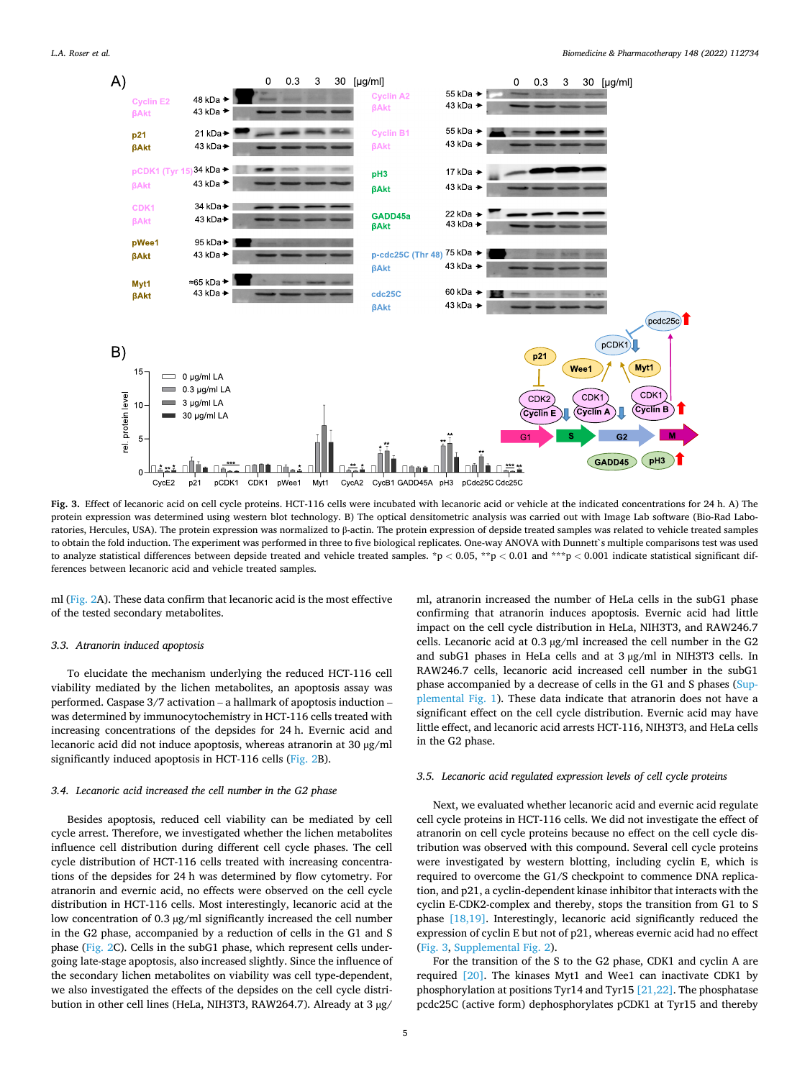<span id="page-4-0"></span>

**Fig. 3.** Effect of lecanoric acid on cell cycle proteins. HCT-116 cells were incubated with lecanoric acid or vehicle at the indicated concentrations for 24 h. A) The protein expression was determined using western blot technology. B) The optical densitometric analysis was carried out with Image Lab software (Bio-Rad Laboratories, Hercules, USA). The protein expression was normalized to β-actin. The protein expression of depside treated samples was related to vehicle treated samples to obtain the fold induction. The experiment was performed in three to five biological replicates. One-way ANOVA with Dunnett`s multiple comparisons test was used to analyze statistical differences between depside treated and vehicle treated samples. \*p *<* 0.05, \*\*p *<* 0.01 and \*\*\*p *<* 0.001 indicate statistical significant differences between lecanoric acid and vehicle treated samples.

ml ([Fig. 2](#page-3-0)A). These data confirm that lecanoric acid is the most effective of the tested secondary metabolites.

#### *3.3. Atranorin induced apoptosis*

To elucidate the mechanism underlying the reduced HCT-116 cell viability mediated by the lichen metabolites, an apoptosis assay was performed. Caspase 3/7 activation – a hallmark of apoptosis induction – was determined by immunocytochemistry in HCT-116 cells treated with increasing concentrations of the depsides for 24 h. Evernic acid and lecanoric acid did not induce apoptosis, whereas atranorin at 30 µg/ml significantly induced apoptosis in HCT-116 cells ([Fig. 2B](#page-3-0)).

#### *3.4. Lecanoric acid increased the cell number in the G2 phase*

Besides apoptosis, reduced cell viability can be mediated by cell cycle arrest. Therefore, we investigated whether the lichen metabolites influence cell distribution during different cell cycle phases. The cell cycle distribution of HCT-116 cells treated with increasing concentrations of the depsides for 24 h was determined by flow cytometry. For atranorin and evernic acid, no effects were observed on the cell cycle distribution in HCT-116 cells. Most interestingly, lecanoric acid at the low concentration of 0.3 μg/ml significantly increased the cell number in the G2 phase, accompanied by a reduction of cells in the G1 and S phase [\(Fig. 2](#page-3-0)C). Cells in the subG1 phase, which represent cells undergoing late-stage apoptosis, also increased slightly. Since the influence of the secondary lichen metabolites on viability was cell type-dependent, we also investigated the effects of the depsides on the cell cycle distribution in other cell lines (HeLa, NIH3T3, RAW264.7). Already at 3 µg/

ml, atranorin increased the number of HeLa cells in the subG1 phase confirming that atranorin induces apoptosis. Evernic acid had little impact on the cell cycle distribution in HeLa, NIH3T3, and RAW246.7 cells. Lecanoric acid at 0.3 µg/ml increased the cell number in the G2 and subG1 phases in HeLa cells and at 3 µg/ml in NIH3T3 cells. In RAW246.7 cells, lecanoric acid increased cell number in the subG1 phase accompanied by a decrease of cells in the G1 and S phases (Supplemental Fig. 1). These data indicate that atranorin does not have a significant effect on the cell cycle distribution. Evernic acid may have little effect, and lecanoric acid arrests HCT-116, NIH3T3, and HeLa cells in the G2 phase.

#### *3.5. Lecanoric acid regulated expression levels of cell cycle proteins*

Next, we evaluated whether lecanoric acid and evernic acid regulate cell cycle proteins in HCT-116 cells. We did not investigate the effect of atranorin on cell cycle proteins because no effect on the cell cycle distribution was observed with this compound. Several cell cycle proteins were investigated by western blotting, including cyclin E, which is required to overcome the G1/S checkpoint to commence DNA replication, and p21, a cyclin-dependent kinase inhibitor that interacts with the cyclin E-CDK2-complex and thereby, stops the transition from G1 to S phase [\[18,19\]](#page-7-0). Interestingly, lecanoric acid significantly reduced the expression of cyclin E but not of p21, whereas evernic acid had no effect (Fig. 3, Supplemental Fig. 2).

For the transition of the S to the G2 phase, CDK1 and cyclin A are required [\[20\].](#page-7-0) The kinases Myt1 and Wee1 can inactivate CDK1 by phosphorylation at positions Tyr14 and Tyr15  $[21,22]$ . The phosphatase pcdc25C (active form) dephosphorylates pCDK1 at Tyr15 and thereby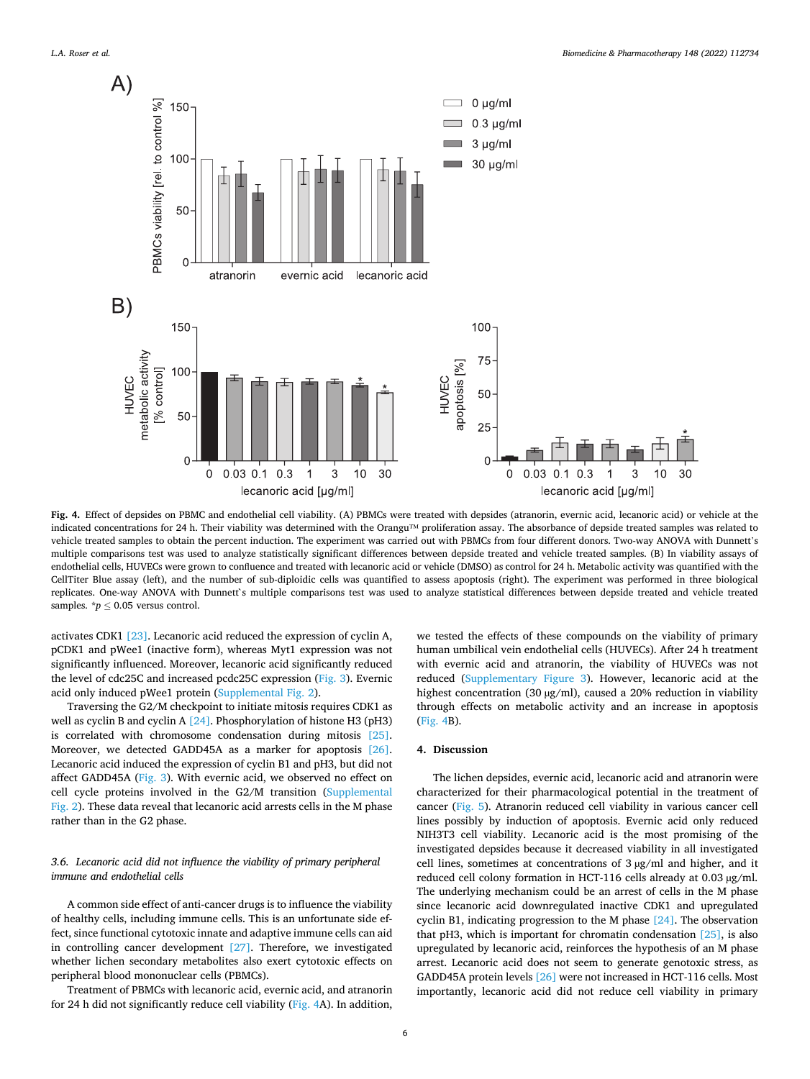

**Fig. 4.** Effect of depsides on PBMC and endothelial cell viability. (A) PBMCs were treated with depsides (atranorin, evernic acid, lecanoric acid) or vehicle at the indicated concentrations for 24 h. Their viability was determined with the Orangu™ proliferation assay. The absorbance of depside treated samples was related to vehicle treated samples to obtain the percent induction. The experiment was carried out with PBMCs from four different donors. Two-way ANOVA with Dunnett's multiple comparisons test was used to analyze statistically significant differences between depside treated and vehicle treated samples. (B) In viability assays of endothelial cells, HUVECs were grown to confluence and treated with lecanoric acid or vehicle (DMSO) as control for 24 h. Metabolic activity was quantified with the CellTiter Blue assay (left), and the number of sub-diploidic cells was quantified to assess apoptosis (right). The experiment was performed in three biological replicates. One-way ANOVA with Dunnett`s multiple comparisons test was used to analyze statistical differences between depside treated and vehicle treated samples.  $\bm{\dot{p}} \leq 0.05$  versus control.

activates CDK1 [\[23\].](#page-8-0) Lecanoric acid reduced the expression of cyclin A, pCDK1 and pWee1 (inactive form), whereas Myt1 expression was not significantly influenced. Moreover, lecanoric acid significantly reduced the level of cdc25C and increased pcdc25C expression [\(Fig. 3](#page-4-0)). Evernic acid only induced pWee1 protein (Supplemental Fig. 2).

Traversing the G2/M checkpoint to initiate mitosis requires CDK1 as well as cyclin B and cyclin A [\[24\].](#page-8-0) Phosphorylation of histone H3 (pH3) is correlated with chromosome condensation during mitosis [\[25\]](#page-8-0). Moreover, we detected GADD45A as a marker for apoptosis [\[26\]](#page-8-0). Lecanoric acid induced the expression of cyclin B1 and pH3, but did not affect GADD45A [\(Fig. 3\)](#page-4-0). With evernic acid, we observed no effect on cell cycle proteins involved in the G2/M transition (Supplemental Fig. 2). These data reveal that lecanoric acid arrests cells in the M phase rather than in the G2 phase.

# *3.6. Lecanoric acid did not influence the viability of primary peripheral immune and endothelial cells*

A common side effect of anti-cancer drugs is to influence the viability of healthy cells, including immune cells. This is an unfortunate side effect, since functional cytotoxic innate and adaptive immune cells can aid in controlling cancer development [\[27\]](#page-8-0). Therefore, we investigated whether lichen secondary metabolites also exert cytotoxic effects on peripheral blood mononuclear cells (PBMCs).

Treatment of PBMCs with lecanoric acid, evernic acid, and atranorin for 24 h did not significantly reduce cell viability (Fig. 4A). In addition,

we tested the effects of these compounds on the viability of primary human umbilical vein endothelial cells (HUVECs). After 24 h treatment with evernic acid and atranorin, the viability of HUVECs was not reduced (Supplementary Figure 3). However, lecanoric acid at the highest concentration (30 µg/ml), caused a 20% reduction in viability through effects on metabolic activity and an increase in apoptosis (Fig. 4B).

#### **4. Discussion**

The lichen depsides, evernic acid, lecanoric acid and atranorin were characterized for their pharmacological potential in the treatment of cancer ([Fig. 5](#page-6-0)). Atranorin reduced cell viability in various cancer cell lines possibly by induction of apoptosis. Evernic acid only reduced NIH3T3 cell viability. Lecanoric acid is the most promising of the investigated depsides because it decreased viability in all investigated cell lines, sometimes at concentrations of 3 µg/ml and higher, and it reduced cell colony formation in HCT-116 cells already at 0.03 µg/ml. The underlying mechanism could be an arrest of cells in the M phase since lecanoric acid downregulated inactive CDK1 and upregulated cyclin B1, indicating progression to the M phase [\[24\]](#page-8-0). The observation that pH3, which is important for chromatin condensation [\[25\]](#page-8-0), is also upregulated by lecanoric acid, reinforces the hypothesis of an M phase arrest. Lecanoric acid does not seem to generate genotoxic stress, as GADD45A protein levels [\[26\]](#page-8-0) were not increased in HCT-116 cells. Most importantly, lecanoric acid did not reduce cell viability in primary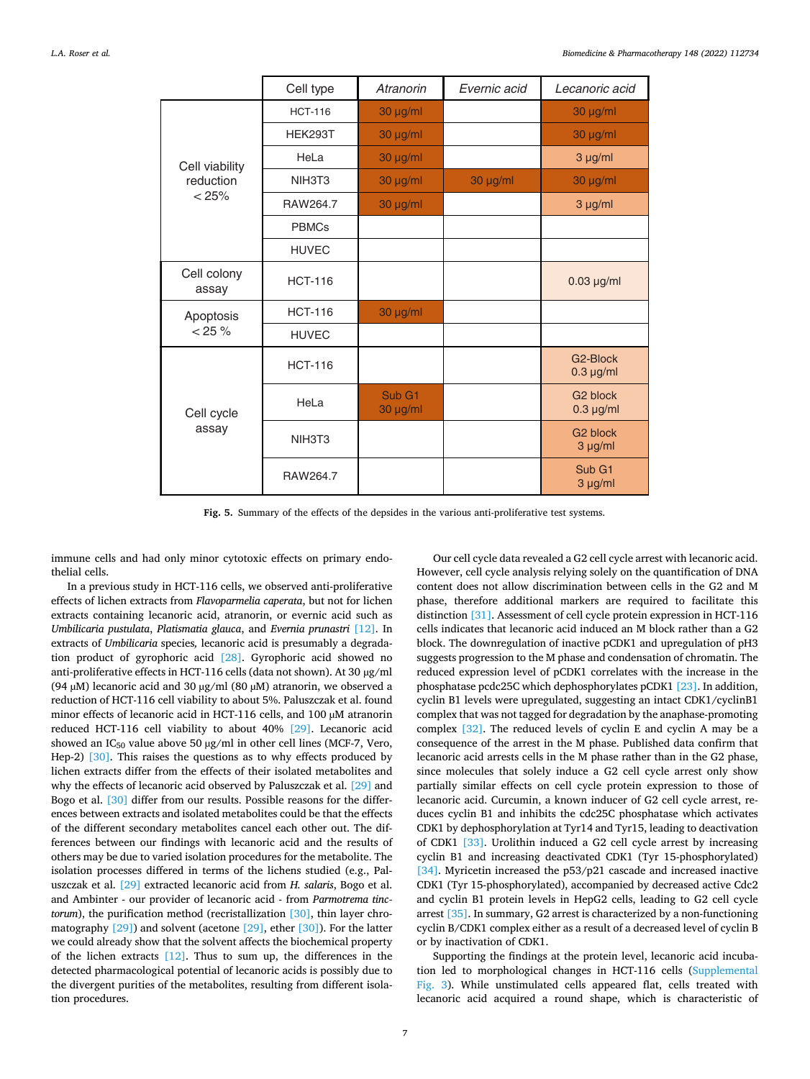<span id="page-6-0"></span>

|                                      | Cell type      | Atranorin          | Evernic acid | Lecanoric acid                          |
|--------------------------------------|----------------|--------------------|--------------|-----------------------------------------|
| Cell viability<br>reduction<br>< 25% | <b>HCT-116</b> | 30 µg/ml           |              | 30 µg/ml                                |
|                                      | <b>HEK293T</b> | 30 µg/ml           |              | $30 \mu g/ml$                           |
|                                      | HeLa           | $30 \mu g/ml$      |              | $3 \mu g/ml$                            |
|                                      | NIH3T3         | 30 µg/ml           | 30 µg/ml     | 30 µg/ml                                |
|                                      | RAW264.7       | 30 µg/ml           |              | $3 \mu g/ml$                            |
|                                      | <b>PBMCs</b>   |                    |              |                                         |
|                                      | <b>HUVEC</b>   |                    |              |                                         |
| Cell colony<br>assay                 | <b>HCT-116</b> |                    |              | $0.03 \mu g/ml$                         |
| Apoptosis<br>$< 25 \%$               | <b>HCT-116</b> | 30 µg/ml           |              |                                         |
|                                      | <b>HUVEC</b>   |                    |              |                                         |
| Cell cycle<br>assay                  | <b>HCT-116</b> |                    |              | G <sub>2</sub> -Block<br>$0.3 \mu g/ml$ |
|                                      | HeLa           | Sub G1<br>30 µg/ml |              | G <sub>2</sub> block<br>$0.3 \mu g/ml$  |
|                                      | NIH3T3         |                    |              | G <sub>2</sub> block<br>$3 \mu g/ml$    |
|                                      | RAW264.7       |                    |              | Sub G1<br>3 µg/ml                       |

**Fig. 5.** Summary of the effects of the depsides in the various anti-proliferative test systems.

immune cells and had only minor cytotoxic effects on primary endothelial cells.

In a previous study in HCT-116 cells, we observed anti-proliferative effects of lichen extracts from *Flavoparmelia caperata*, but not for lichen extracts containing lecanoric acid, atranorin, or evernic acid such as *Umbilicaria pustulata*, *Platismatia glauca*, and *Evernia prunastri* [\[12\]](#page-7-0). In extracts of *Umbilicaria* species*,* lecanoric acid is presumably a degradation product of gyrophoric acid [\[28\].](#page-8-0) Gyrophoric acid showed no anti-proliferative effects in HCT-116 cells (data not shown). At 30 µg/ml (94  $\mu$ M) lecanoric acid and 30  $\mu$ g/ml (80  $\mu$ M) atranorin, we observed a reduction of HCT-116 cell viability to about 5%. Paluszczak et al. found minor effects of lecanoric acid in HCT-116 cells, and 100 µM atranorin reduced HCT-116 cell viability to about 40% [\[29\].](#page-8-0) Lecanoric acid showed an  $IC_{50}$  value above 50  $\mu$ g/ml in other cell lines (MCF-7, Vero, Hep-2) [\[30\].](#page-8-0) This raises the questions as to why effects produced by lichen extracts differ from the effects of their isolated metabolites and why the effects of lecanoric acid observed by Paluszczak et al. [\[29\]](#page-8-0) and Bogo et al. [\[30\]](#page-8-0) differ from our results. Possible reasons for the differences between extracts and isolated metabolites could be that the effects of the different secondary metabolites cancel each other out. The differences between our findings with lecanoric acid and the results of others may be due to varied isolation procedures for the metabolite. The isolation processes differed in terms of the lichens studied (e.g., Paluszczak et al. [\[29\]](#page-8-0) extracted lecanoric acid from *H. salaris*, Bogo et al. and Ambinter - our provider of lecanoric acid - from *Parmotrema tinctorum*), the purification method (recristallization [\[30\],](#page-8-0) thin layer chromatography [\[29\]](#page-8-0)) and solvent (acetone [\[29\]](#page-8-0), ether [\[30\]\)](#page-8-0). For the latter we could already show that the solvent affects the biochemical property of the lichen extracts  $[12]$ . Thus to sum up, the differences in the detected pharmacological potential of lecanoric acids is possibly due to the divergent purities of the metabolites, resulting from different isolation procedures.

Our cell cycle data revealed a G2 cell cycle arrest with lecanoric acid. However, cell cycle analysis relying solely on the quantification of DNA content does not allow discrimination between cells in the G2 and M phase, therefore additional markers are required to facilitate this distinction [\[31\].](#page-8-0) Assessment of cell cycle protein expression in HCT-116 cells indicates that lecanoric acid induced an M block rather than a G2 block. The downregulation of inactive pCDK1 and upregulation of pH3 suggests progression to the M phase and condensation of chromatin. The reduced expression level of pCDK1 correlates with the increase in the phosphatase pcdc25C which dephosphorylates pCDK1 [\[23\]](#page-8-0). In addition, cyclin B1 levels were upregulated, suggesting an intact CDK1/cyclinB1 complex that was not tagged for degradation by the anaphase-promoting complex [\[32\]](#page-8-0). The reduced levels of cyclin E and cyclin A may be a consequence of the arrest in the M phase. Published data confirm that lecanoric acid arrests cells in the M phase rather than in the G2 phase, since molecules that solely induce a G2 cell cycle arrest only show partially similar effects on cell cycle protein expression to those of lecanoric acid. Curcumin, a known inducer of G2 cell cycle arrest, reduces cyclin B1 and inhibits the cdc25C phosphatase which activates CDK1 by dephosphorylation at Tyr14 and Tyr15, leading to deactivation of CDK1 [\[33\]](#page-8-0). Urolithin induced a G2 cell cycle arrest by increasing cyclin B1 and increasing deactivated CDK1 (Tyr 15-phosphorylated) [\[34\]](#page-8-0). Myricetin increased the p53/p21 cascade and increased inactive CDK1 (Tyr 15-phosphorylated), accompanied by decreased active Cdc2 and cyclin B1 protein levels in HepG2 cells, leading to G2 cell cycle arrest [\[35\]](#page-8-0). In summary, G2 arrest is characterized by a non-functioning cyclin B/CDK1 complex either as a result of a decreased level of cyclin B or by inactivation of CDK1.

Supporting the findings at the protein level, lecanoric acid incubation led to morphological changes in HCT-116 cells (Supplemental Fig. 3). While unstimulated cells appeared flat, cells treated with lecanoric acid acquired a round shape, which is characteristic of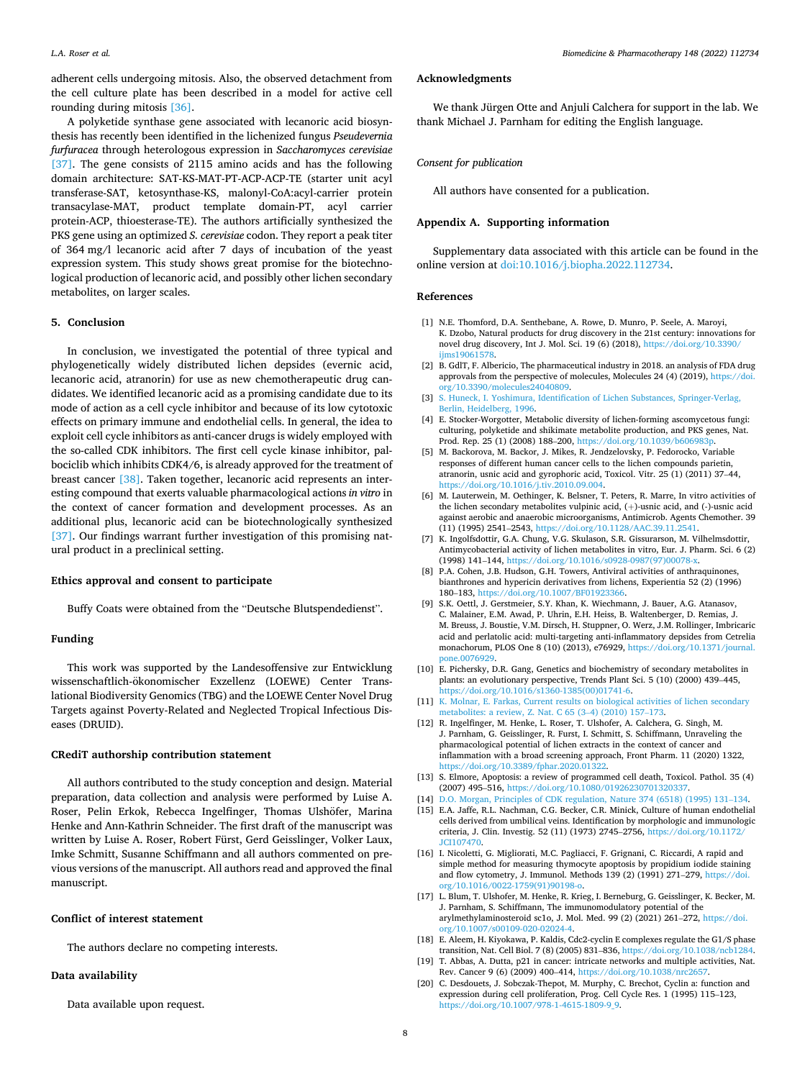<span id="page-7-0"></span>adherent cells undergoing mitosis. Also, the observed detachment from the cell culture plate has been described in a model for active cell rounding during mitosis [\[36\].](#page-8-0)

A polyketide synthase gene associated with lecanoric acid biosynthesis has recently been identified in the lichenized fungus *Pseudevernia furfuracea* through heterologous expression in *Saccharomyces cerevisiae*  [\[37\]](#page-8-0). The gene consists of 2115 amino acids and has the following domain architecture: SAT-KS-MAT-PT-ACP-ACP-TE (starter unit acyl transferase-SAT, ketosynthase-KS, malonyl-CoA:acyl-carrier protein transacylase-MAT, product template domain-PT, acyl carrier protein-ACP, thioesterase-TE). The authors artificially synthesized the PKS gene using an optimized *S. cerevisiae* codon. They report a peak titer of 364 mg/l lecanoric acid after 7 days of incubation of the yeast expression system. This study shows great promise for the biotechnological production of lecanoric acid, and possibly other lichen secondary metabolites, on larger scales.

#### **5. Conclusion**

In conclusion, we investigated the potential of three typical and phylogenetically widely distributed lichen depsides (evernic acid, lecanoric acid, atranorin) for use as new chemotherapeutic drug candidates. We identified lecanoric acid as a promising candidate due to its mode of action as a cell cycle inhibitor and because of its low cytotoxic effects on primary immune and endothelial cells. In general, the idea to exploit cell cycle inhibitors as anti-cancer drugs is widely employed with the so-called CDK inhibitors. The first cell cycle kinase inhibitor, palbociclib which inhibits CDK4/6, is already approved for the treatment of breast cancer [\[38\]](#page-8-0). Taken together, lecanoric acid represents an interesting compound that exerts valuable pharmacological actions *in vitro* in the context of cancer formation and development processes. As an additional plus, lecanoric acid can be biotechnologically synthesized [\[37\]](#page-8-0). Our findings warrant further investigation of this promising natural product in a preclinical setting.

# **Ethics approval and consent to participate**

Buffy Coats were obtained from the "Deutsche Blutspendedienst".

#### **Funding**

This work was supported by the Landesoffensive zur Entwicklung wissenschaftlich-ökonomischer Exzellenz (LOEWE) Center Translational Biodiversity Genomics (TBG) and the LOEWE Center Novel Drug Targets against Poverty-Related and Neglected Tropical Infectious Diseases (DRUID).

#### **CRediT authorship contribution statement**

All authors contributed to the study conception and design. Material preparation, data collection and analysis were performed by Luise A. Roser, Pelin Erkok, Rebecca Ingelfinger, Thomas Ulshöfer, Marina Henke and Ann-Kathrin Schneider. The first draft of the manuscript was written by Luise A. Roser, Robert Fürst, Gerd Geisslinger, Volker Laux, Imke Schmitt, Susanne Schiffmann and all authors commented on previous versions of the manuscript. All authors read and approved the final manuscript.

#### **Conflict of interest statement**

The authors declare no competing interests.

# **Data availability**

Data available upon request.

## **Acknowledgments**

We thank Jürgen Otte and Anjuli Calchera for support in the lab. We thank Michael J. Parnham for editing the English language.

# *Consent for publication*

All authors have consented for a publication.

# **Appendix A. Supporting information**

Supplementary data associated with this article can be found in the online version at [doi:10.1016/j.biopha.2022.112734.](https://doi.org/10.1016/j.biopha.2022.112734)

#### **References**

- [1] N.E. Thomford, D.A. Senthebane, A. Rowe, D. Munro, P. Seele, A. Maroyi, K. Dzobo, Natural products for drug discovery in the 21st century: innovations for novel drug discovery, Int J. Mol. Sci. 19 (6) (2018), https://doi.org/10.3390, [ijms19061578](https://doi.org/10.3390/ijms19061578).
- [2] B. GdlT, F. Albericio, The pharmaceutical industry in 2018. an analysis of FDA drug approvals from the perspective of molecules, Molecules 24 (4) (2019), [https://doi.](https://doi.org/10.3390/molecules24040809)  [org/10.3390/molecules24040809.](https://doi.org/10.3390/molecules24040809)
- [3] [S. Huneck, I. Yoshimura, Identification of Lichen Substances, Springer-Verlag,](http://refhub.elsevier.com/S0753-3322(22)00122-6/sbref3) [Berlin, Heidelberg, 1996](http://refhub.elsevier.com/S0753-3322(22)00122-6/sbref3).
- [4] E. Stocker-Worgotter, Metabolic diversity of lichen-forming ascomycetous fungi: culturing, polyketide and shikimate metabolite production, and PKS genes, Nat. Prod. Rep. 25 (1) (2008) 188-200, https://doi.org/10.1039/b606983
- [5] M. Backorova, M. Backor, J. Mikes, R. Jendzelovsky, P. Fedorocko, Variable responses of different human cancer cells to the lichen compounds parietin, atranorin, usnic acid and gyrophoric acid, Toxicol. Vitr. 25 (1) (2011) 37–44, [https://doi.org/10.1016/j.tiv.2010.09.004.](https://doi.org/10.1016/j.tiv.2010.09.004)
- [6] M. Lauterwein, M. Oethinger, K. Belsner, T. Peters, R. Marre, In vitro activities of the lichen secondary metabolites vulpinic acid, (+)-usnic acid, and (-)-usnic acid against aerobic and anaerobic microorganisms, Antimicrob. Agents Chemother. 39 (11) (1995) 2541–2543, [https://doi.org/10.1128/AAC.39.11.2541.](https://doi.org/10.1128/AAC.39.11.2541)
- [7] K. Ingolfsdottir, G.A. Chung, V.G. Skulason, S.R. Gissurarson, M. Vilhelmsdottir, Antimycobacterial activity of lichen metabolites in vitro, Eur. J. Pharm. Sci. 6 (2) (1998) 141-144, https://doi.org/10.1016/s0928-0987(9
- [8] P.A. Cohen, J.B. Hudson, G.H. Towers, Antiviral activities of anthraquinones, bianthrones and hypericin derivatives from lichens, Experientia 52 (2) (1996) 180–183, <https://doi.org/10.1007/BF01923366>.
- [9] S.K. Oettl, J. Gerstmeier, S.Y. Khan, K. Wiechmann, J. Bauer, A.G. Atanasov, C. Malainer, E.M. Awad, P. Uhrin, E.H. Heiss, B. Waltenberger, D. Remias, J. M. Breuss, J. Boustie, V.M. Dirsch, H. Stuppner, O. Werz, J.M. Rollinger, Imbricaric acid and perlatolic acid: multi-targeting anti-inflammatory depsides from Cetrelia monachorum, PLOS One 8 (10) (2013), e76929, [https://doi.org/10.1371/journal.](https://doi.org/10.1371/journal.pone.0076929)  [pone.0076929.](https://doi.org/10.1371/journal.pone.0076929)
- [10] E. Pichersky, D.R. Gang, Genetics and biochemistry of secondary metabolites in plants: an evolutionary perspective, Trends Plant Sci. 5 (10) (2000) 439–445, [https://doi.org/10.1016/s1360-1385\(00\)01741-6.](https://doi.org/10.1016/s1360-1385(00)01741-6)
- [11] [K. Molnar, E. Farkas, Current results on biological activities of lichen secondary](http://refhub.elsevier.com/S0753-3322(22)00122-6/sbref11) [metabolites: a review, Z. Nat. C 65 \(3](http://refhub.elsevier.com/S0753-3322(22)00122-6/sbref11)–4) (2010) 157–173.
- [12] R. Ingelfinger, M. Henke, L. Roser, T. Ulshofer, A. Calchera, G. Singh, M. J. Parnham, G. Geisslinger, R. Furst, I. Schmitt, S. Schiffmann, Unraveling the pharmacological potential of lichen extracts in the context of cancer and inflammation with a broad screening approach, Front Pharm. 11 (2020) 1322, [https://doi.org/10.3389/fphar.2020.01322.](https://doi.org/10.3389/fphar.2020.01322)
- [13] S. Elmore, Apoptosis: a review of programmed cell death, Toxicol. Pathol. 35 (4) (2007) 495–516, [https://doi.org/10.1080/01926230701320337.](https://doi.org/10.1080/01926230701320337)
- [14] [D.O. Morgan, Principles of CDK regulation, Nature 374 \(6518\) \(1995\) 131](http://refhub.elsevier.com/S0753-3322(22)00122-6/sbref14)–134.
- [15] E.A. Jaffe, R.L. Nachman, C.G. Becker, C.R. Minick, Culture of human endothelial cells derived from umbilical veins. Identification by morphologic and immunologic criteria, J. Clin. Investig. 52 (11) (1973) 2745–2756, [https://doi.org/10.1172/](https://doi.org/10.1172/JCI107470) [JCI107470.](https://doi.org/10.1172/JCI107470)
- [16] I. Nicoletti, G. Migliorati, M.C. Pagliacci, F. Grignani, C. Riccardi, A rapid and simple method for measuring thymocyte apoptosis by propidium iodide staining and flow cytometry, J. Immunol. Methods 139 (2) (1991) 271–279, [https://doi.](https://doi.org/10.1016/0022-1759(91)90198-o)  [org/10.1016/0022-1759\(91\)90198-o](https://doi.org/10.1016/0022-1759(91)90198-o).
- [17] L. Blum, T. Ulshofer, M. Henke, R. Krieg, I. Berneburg, G. Geisslinger, K. Becker, M. J. Parnham, S. Schiffmann, The immunomodulatory potential of the arylmethylaminosteroid sc1o, J. Mol. Med. 99 (2) (2021) 261–272, [https://doi.](https://doi.org/10.1007/s00109-020-02024-4) [org/10.1007/s00109-020-02024-4.](https://doi.org/10.1007/s00109-020-02024-4)
- [18] E. Aleem, H. Kiyokawa, P. Kaldis, Cdc2-cyclin E complexes regulate the G1/S phase transition, Nat. Cell Biol. 7 (8) (2005) 831–836, [https://doi.org/10.1038/ncb1284.](https://doi.org/10.1038/ncb1284)
- [19] T. Abbas, A. Dutta, p21 in cancer: intricate networks and multiple activities, Nat. Rev. Cancer 9 (6) (2009) 400–414, [https://doi.org/10.1038/nrc2657.](https://doi.org/10.1038/nrc2657)
- [20] C. Desdouets, J. Sobczak-Thepot, M. Murphy, C. Brechot, Cyclin a: function and expression during cell proliferation, Prog. Cell Cycle Res. 1 (1995) 115–123, [https://doi.org/10.1007/978-1-4615-1809-9\\_9.](https://doi.org/10.1007/978-1-4615-1809-9_9)